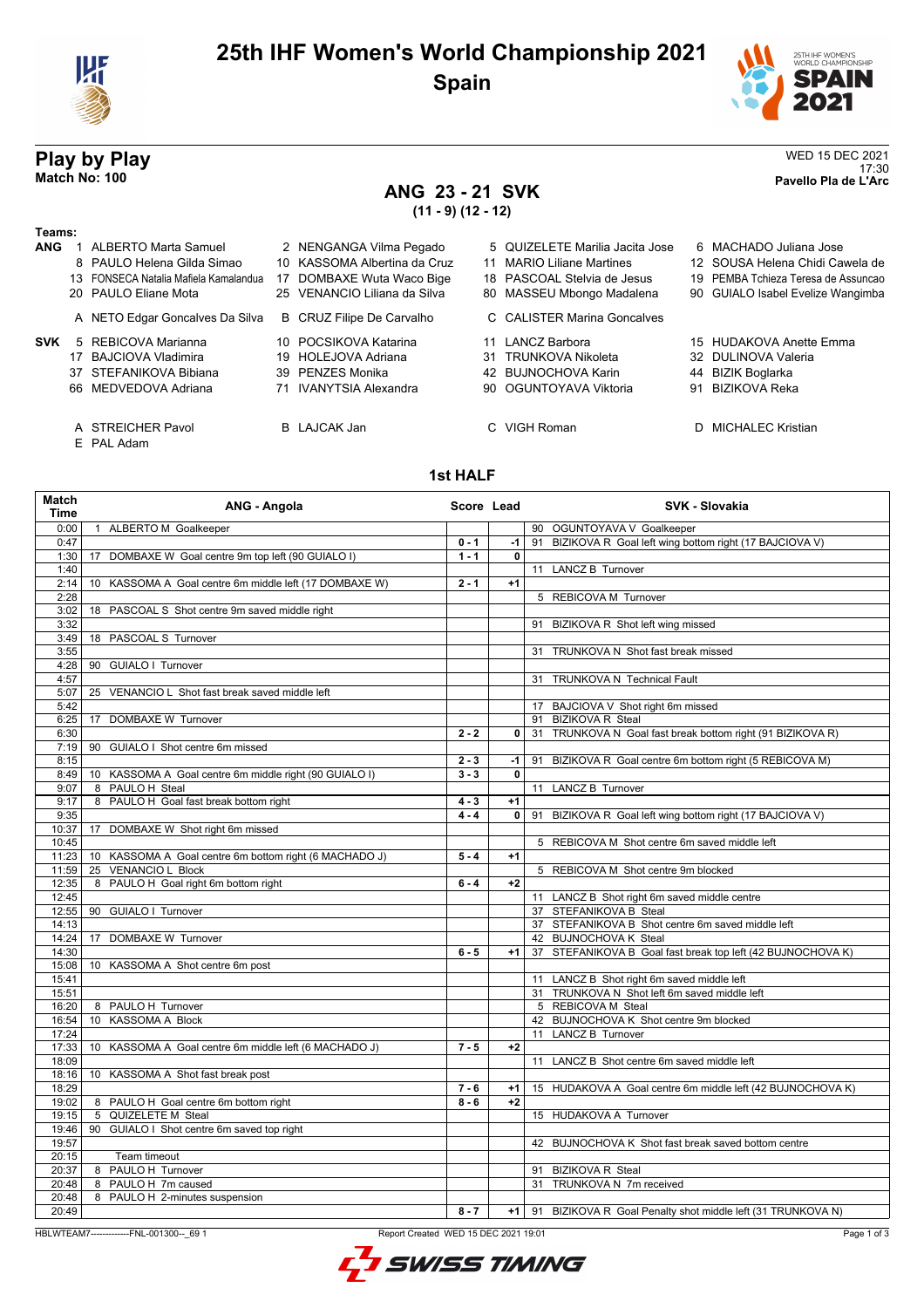

## **25th IHF Women's World Championship 2021 Spain**





17:30 **Match No: 100 Pavello Pla de L'Arc**

# **Play by Play**<br>Match No: 100<br>Pavello Pla de L'Arc

### **ANG 23 - 21 SVK (11 - 9) (12 - 12)**

#### **Teams:**

| <b>ANG</b> | <b>ALBERTO Marta Samuel</b>           | 2 NENGANGA Vilma Pegado      | 5 QUIZELETE Marilia Jacita Jose | 6 MACHADO Juliana Jose              |
|------------|---------------------------------------|------------------------------|---------------------------------|-------------------------------------|
|            | 8 PAULO Helena Gilda Simao            | 10 KASSOMA Albertina da Cruz | 11 MARIO Liliane Martines       | 12 SOUSA Helena Chidi Cawela de     |
|            | 13 FONSECA Natalia Mafiela Kamalandua | 17 DOMBAXE Wuta Waco Bige    | 18 PASCOAL Stelvia de Jesus     | 19 PEMBA Tchieza Teresa de Assuncad |
|            | 20 PAULO Eliane Mota                  | 25 VENANCIO Liliana da Silva | 80 MASSEU Mbongo Madalena       | 90 GUIALO Isabel Evelize Wangimba   |
|            | A NETO Edgar Goncalves Da Silva       | B CRUZ Filipe De Carvalho    | C CALISTER Marina Goncalves     |                                     |
| SVK        | 5 REBICOVA Marianna                   | 10 POCSIKOVA Katarina        | 11 LANCZ Barbora                | 15 HUDAKOVA Anette Emma             |
|            | 17 BAJCIOVA Vladimira                 | 19 HOLEJOVA Adriana          | 31 TRUNKOVA Nikoleta            | 32 DULINOVA Valeria                 |
|            | 37 STEFANIKOVA Bibiana                | 39 PENZES Monika             | 42 BUJNOCHOVA Karin             | 44 BIZIK Boglarka                   |
|            | 66 MEDVEDOVA Adriana                  | 71 IVANYTSIA Alexandra       | 90 OGUNTOYAVA Viktoria          | 91 BIZIKOVA Reka                    |
|            | A STREICHER Pavol                     | <b>B</b> LAJCAK Jan          | C VIGH Roman                    | D MICHALEC Kristian                 |

- E PAL Adam
	-

### **1st HALF**

| Match<br>Time | ANG - Angola                                           | Score Lead |              | <b>SVK - Slovakia</b>                                            |
|---------------|--------------------------------------------------------|------------|--------------|------------------------------------------------------------------|
| 0:00          | 1 ALBERTO M Goalkeeper                                 |            |              | 90 OGUNTOYAVA V Goalkeeper                                       |
| 0:47          |                                                        | $0 - 1$    | -1           | 91 BIZIKOVA R Goal left wing bottom right (17 BAJCIOVA V)        |
| 1:30          | 17 DOMBAXE W Goal centre 9m top left (90 GUIALO I)     | $1 - 1$    | $\mathbf{0}$ |                                                                  |
| 1:40          |                                                        |            |              | 11 LANCZ B Turnover                                              |
| 2:14          | 10 KASSOMA A Goal centre 6m middle left (17 DOMBAXE W) | $2 - 1$    | $+1$         |                                                                  |
| 2:28          |                                                        |            |              | 5 REBICOVA M Turnover                                            |
| 3:02          | 18 PASCOAL S Shot centre 9m saved middle right         |            |              |                                                                  |
| 3:32          |                                                        |            |              | 91 BIZIKOVA R Shot left wing missed                              |
| 3:49          | 18 PASCOAL S Turnover                                  |            |              |                                                                  |
| 3:55          |                                                        |            |              | 31 TRUNKOVA N Shot fast break missed                             |
| 4:28          | 90 GUIALO I Turnover                                   |            |              |                                                                  |
| 4:57          |                                                        |            |              | 31 TRUNKOVA N Technical Fault                                    |
| 5:07          | 25 VENANCIO L Shot fast break saved middle left        |            |              |                                                                  |
| 5:42          |                                                        |            |              | 17 BAJCIOVA V Shot right 6m missed                               |
| 6:25          | 17 DOMBAXE W Turnover                                  |            |              | 91 BIZIKOVA R Steal                                              |
| 6:30          |                                                        | $2 - 2$    |              | 0 31 TRUNKOVA N Goal fast break bottom right (91 BIZIKOVA R)     |
| 7:19          | 90 GUIALO I Shot centre 6m missed                      |            |              |                                                                  |
| 8:15          |                                                        | $2 - 3$    | $-1$         | 91 BIZIKOVA R Goal centre 6m bottom right (5 REBICOVA M)         |
| 8:49          | 10 KASSOMA A Goal centre 6m middle right (90 GUIALO I) | $3 - 3$    | $\mathbf{0}$ |                                                                  |
| 9:07          | 8 PAULO H Steal                                        |            |              | 11 LANCZ B Turnover                                              |
| 9:17          | 8 PAULO H Goal fast break bottom right                 | $4 - 3$    | $+1$         |                                                                  |
| 9:35          |                                                        | $4 - 4$    | $\mathbf{0}$ | 91 BIZIKOVA R Goal left wing bottom right (17 BAJCIOVA V)        |
| 10:37         | 17 DOMBAXE W Shot right 6m missed                      |            |              |                                                                  |
| 10:45         |                                                        |            |              | 5 REBICOVA M Shot centre 6m saved middle left                    |
| 11:23         | 10 KASSOMA A Goal centre 6m bottom right (6 MACHADO J) | $5 - 4$    | $+1$         |                                                                  |
| 11:59         | 25 VENANCIO L Block                                    |            |              | 5 REBICOVA M Shot centre 9m blocked                              |
| 12:35         | 8 PAULO H Goal right 6m bottom right                   | $6 - 4$    | $+2$         |                                                                  |
| 12:45         |                                                        |            |              | 11 LANCZ B Shot right 6m saved middle centre                     |
| 12:55         | 90 GUIALO I Turnover                                   |            |              | 37 STEFANIKOVA B Steal                                           |
| 14:13         |                                                        |            |              | 37 STEFANIKOVA B Shot centre 6m saved middle left                |
| 14:24         | 17 DOMBAXE W Turnover                                  |            |              | 42 BUJNOCHOVA K Steal                                            |
| 14:30         |                                                        | $6 - 5$    | $+1$         | 37 STEFANIKOVA B Goal fast break top left (42 BUJNOCHOVA K)      |
| 15:08         | 10 KASSOMA A Shot centre 6m post                       |            |              |                                                                  |
| 15:41         |                                                        |            |              | 11 LANCZ B Shot right 6m saved middle left                       |
| 15:51         |                                                        |            |              | 31 TRUNKOVA N Shot left 6m saved middle left                     |
| 16:20         | 8 PAULO H Turnover                                     |            |              | 5 REBICOVA M Steal                                               |
| 16:54         | 10 KASSOMA A Block                                     |            |              | 42 BUJNOCHOVA K Shot centre 9m blocked                           |
| 17:24         |                                                        |            |              | 11 LANCZ B Turnover                                              |
| 17:33         | 10 KASSOMA A Goal centre 6m middle left (6 MACHADO J)  | $7 - 5$    | $+2$         |                                                                  |
| 18:09         |                                                        |            |              | 11 LANCZ B Shot centre 6m saved middle left                      |
| 18:16         | 10 KASSOMA A Shot fast break post                      |            |              |                                                                  |
| 18:29         |                                                        | $7 - 6$    | $+1$         | 15 HUDAKOVA A Goal centre 6m middle left (42 BUJNOCHOVA K)       |
| 19:02         | 8 PAULO H Goal centre 6m bottom right                  | $8 - 6$    | $+2$         |                                                                  |
| 19:15         | 5 QUIZELETE M Steal                                    |            |              | 15 HUDAKOVA A Turnover                                           |
| 19:46         | 90 GUIALO I Shot centre 6m saved top right             |            |              |                                                                  |
| 19:57         |                                                        |            |              | 42 BUJNOCHOVA K Shot fast break saved bottom centre              |
| 20:15         | Team timeout                                           |            |              |                                                                  |
| 20:37         | 8 PAULO H Turnover                                     |            |              | 91 BIZIKOVA R Steal                                              |
| 20:48         | 8 PAULO H 7m caused                                    |            |              | 31 TRUNKOVA N 7m received                                        |
| 20:48         | 8 PAULO H 2-minutes suspension                         |            |              |                                                                  |
| 20:49         |                                                        | $8 - 7$    |              | +1   91 BIZIKOVA R Goal Penalty shot middle left (31 TRUNKOVA N) |

HBLWTEAM7-------------FNL-001300--\_69 1 Report Created WED 15 DEC 2021 19:01

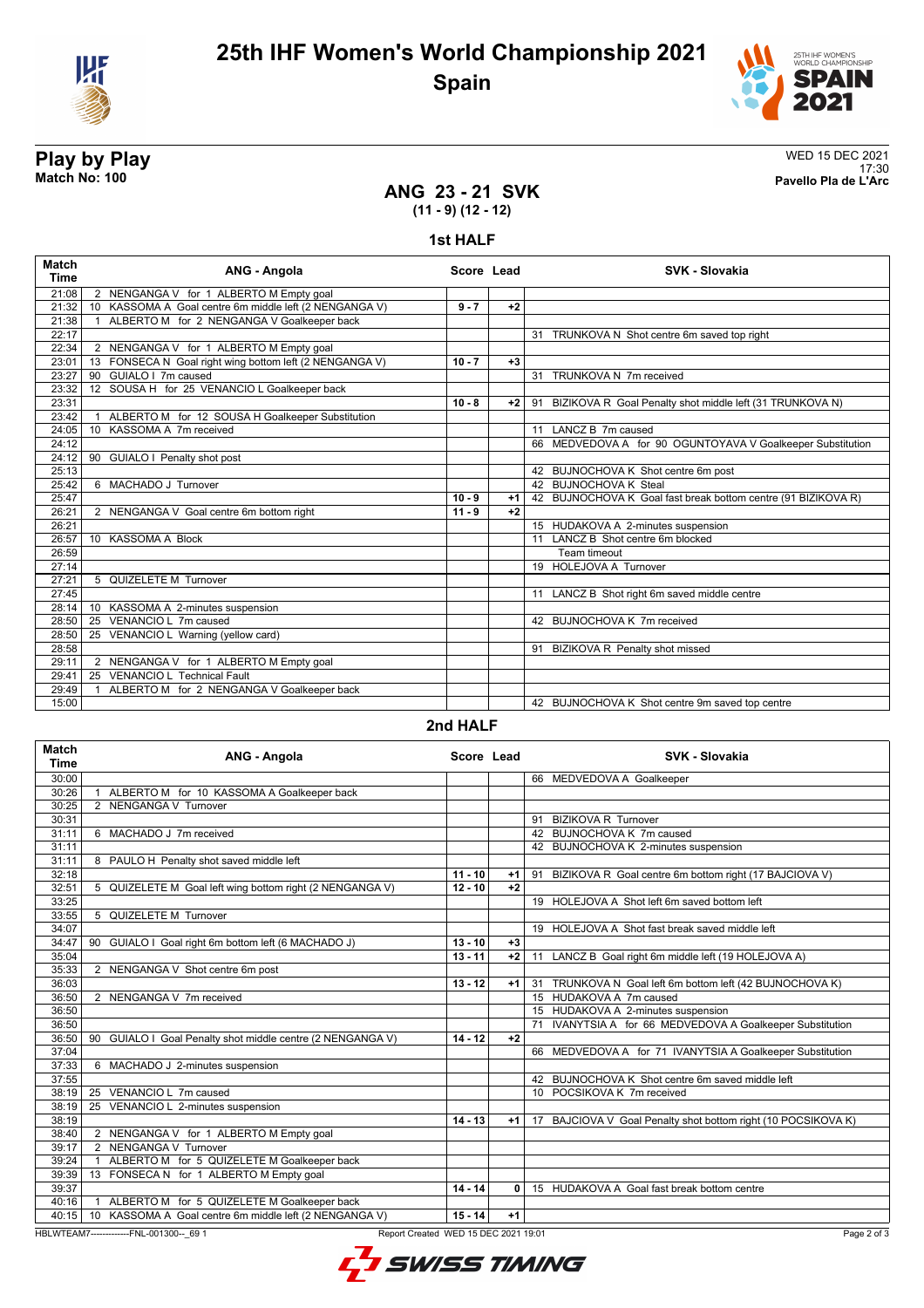



**Play by Play**<br>Match No: 100<br>Pavello Pla de L'Arc 17:30 **Match No: 100 Pavello Pla de L'Arc**

#### **ANG 23 - 21 SVK (11 - 9) (12 - 12)**

#### **1st HALF**

| <b>Match</b><br><b>Time</b> | ANG - Angola                                            | Score Lead |      | <b>SVK - Slovakia</b>                                         |
|-----------------------------|---------------------------------------------------------|------------|------|---------------------------------------------------------------|
| 21:08                       | 2 NENGANGA V for 1 ALBERTO M Empty goal                 |            |      |                                                               |
| 21:32                       | 10 KASSOMA A Goal centre 6m middle left (2 NENGANGA V)  | $9 - 7$    | $+2$ |                                                               |
| 21:38                       | ALBERTO M for 2 NENGANGA V Goalkeeper back              |            |      |                                                               |
| 22:17                       |                                                         |            |      | 31 TRUNKOVA N Shot centre 6m saved top right                  |
| 22:34                       | 2 NENGANGA V for 1 ALBERTO M Empty goal                 |            |      |                                                               |
| 23:01                       | 13 FONSECA N Goal right wing bottom left (2 NENGANGA V) | $10 - 7$   | $+3$ |                                                               |
| 23:27                       | 90 GUIALO I 7m caused                                   |            |      | 31 TRUNKOVA N 7m received                                     |
| 23:32                       | 12 SOUSA H for 25 VENANCIO L Goalkeeper back            |            |      |                                                               |
| 23:31                       |                                                         | $10 - 8$   | $+2$ | 91 BIZIKOVA R Goal Penalty shot middle left (31 TRUNKOVA N)   |
| 23:42                       | ALBERTO M for 12 SOUSA H Goalkeeper Substitution        |            |      |                                                               |
| 24:05                       | 10 KASSOMA A 7m received                                |            |      | 11 LANCZ B 7m caused                                          |
| 24:12                       |                                                         |            |      | 66 MEDVEDOVA A for 90 OGUNTOYAVA V Goalkeeper Substitution    |
| 24:12                       | 90 GUIALO I Penalty shot post                           |            |      |                                                               |
| 25:13                       |                                                         |            |      | 42 BUJNOCHOVA K Shot centre 6m post                           |
| 25:42                       | 6 MACHADO J Turnover                                    |            |      | 42 BUJNOCHOVA K Steal                                         |
| 25:47                       |                                                         | $10 - 9$   | $+1$ | 42 BUJNOCHOVA K Goal fast break bottom centre (91 BIZIKOVA R) |
| 26:21                       | 2 NENGANGA V Goal centre 6m bottom right                | $11 - 9$   | $+2$ |                                                               |
| 26:21                       |                                                         |            |      | 15 HUDAKOVA A 2-minutes suspension                            |
| 26:57                       | 10 KASSOMA A Block                                      |            |      | 11 LANCZ B Shot centre 6m blocked                             |
| 26:59                       |                                                         |            |      | Team timeout                                                  |
| 27:14                       |                                                         |            |      | 19 HOLEJOVA A Turnover                                        |
| 27:21                       | 5 QUIZELETE M Turnover                                  |            |      |                                                               |
| 27:45                       |                                                         |            |      | 11 LANCZ B Shot right 6m saved middle centre                  |
| 28:14                       | 10 KASSOMA A 2-minutes suspension                       |            |      |                                                               |
| 28:50                       | 25 VENANCIO L 7m caused                                 |            |      | 42 BUJNOCHOVA K 7m received                                   |
| 28:50                       | VENANCIO L Warning (yellow card)<br>25                  |            |      |                                                               |
| 28:58                       |                                                         |            |      | 91 BIZIKOVA R Penalty shot missed                             |
| 29:11                       | 2 NENGANGA V for 1 ALBERTO M Empty goal                 |            |      |                                                               |
| 29:41                       | 25 VENANCIO L Technical Fault                           |            |      |                                                               |
| 29:49                       | ALBERTO M for 2 NENGANGA V Goalkeeper back              |            |      |                                                               |
| 15:00                       |                                                         |            |      | 42 BUJNOCHOVA K Shot centre 9m saved top centre               |

#### **2nd HALF**

| <b>Match</b><br><b>Time</b> | ANG - Angola                                                                                   | Score Lead |      | <b>SVK - Slovakia</b>                                            |  |  |
|-----------------------------|------------------------------------------------------------------------------------------------|------------|------|------------------------------------------------------------------|--|--|
| 30:00                       |                                                                                                |            |      | 66 MEDVEDOVA A Goalkeeper                                        |  |  |
| 30:26                       | 1 ALBERTO M for 10 KASSOMA A Goalkeeper back                                                   |            |      |                                                                  |  |  |
| 30:25                       | 2 NENGANGA V Turnover                                                                          |            |      |                                                                  |  |  |
| 30:31                       |                                                                                                |            |      | 91 BIZIKOVA R Turnover                                           |  |  |
| 31:11                       | 6 MACHADO J 7m received                                                                        |            |      | 42 BUJNOCHOVA K 7m caused                                        |  |  |
| 31:11                       |                                                                                                |            |      | 42 BUJNOCHOVA K 2-minutes suspension                             |  |  |
| 31:11                       | 8 PAULO H Penalty shot saved middle left                                                       |            |      |                                                                  |  |  |
| 32:18                       |                                                                                                | $11 - 10$  | +1   | 91 BIZIKOVA R Goal centre 6m bottom right (17 BAJCIOVA V)        |  |  |
| 32:51                       | 5 QUIZELETE M Goal left wing bottom right (2 NENGANGA V)                                       | $12 - 10$  | $+2$ |                                                                  |  |  |
| 33:25                       |                                                                                                |            |      | 19 HOLEJOVA A Shot left 6m saved bottom left                     |  |  |
| 33:55                       | 5 QUIZELETE M Turnover                                                                         |            |      |                                                                  |  |  |
| 34:07                       |                                                                                                |            |      | 19 HOLEJOVA A Shot fast break saved middle left                  |  |  |
| 34:47                       | 90 GUIALO I Goal right 6m bottom left (6 MACHADO J)                                            | $13 - 10$  | $+3$ |                                                                  |  |  |
| 35:04                       |                                                                                                | $13 - 11$  | $+2$ | LANCZ B Goal right 6m middle left (19 HOLEJOVA A)<br>11          |  |  |
| 35:33                       | 2 NENGANGA V Shot centre 6m post                                                               |            |      |                                                                  |  |  |
| 36:03                       |                                                                                                | $13 - 12$  | $+1$ | 31 TRUNKOVA N Goal left 6m bottom left (42 BUJNOCHOVA K)         |  |  |
| 36:50                       | 2 NENGANGA V 7m received                                                                       |            |      | 15 HUDAKOVA A 7m caused                                          |  |  |
| 36:50                       |                                                                                                |            |      | 15 HUDAKOVA A 2-minutes suspension                               |  |  |
| 36:50                       |                                                                                                |            |      | 71 IVANYTSIA A for 66 MEDVEDOVA A Goalkeeper Substitution        |  |  |
| 36:50                       | 90 GUIALO I Goal Penalty shot middle centre (2 NENGANGA V)                                     | $14 - 12$  | $+2$ |                                                                  |  |  |
| 37:04                       |                                                                                                |            |      | 66 MEDVEDOVA A for 71 IVANYTSIA A Goalkeeper Substitution        |  |  |
| 37:33                       | 6 MACHADO J 2-minutes suspension                                                               |            |      |                                                                  |  |  |
| 37:55                       |                                                                                                |            |      | 42 BUJNOCHOVA K Shot centre 6m saved middle left                 |  |  |
| 38:19                       | 25 VENANCIO L 7m caused                                                                        |            |      | 10 POCSIKOVA K 7m received                                       |  |  |
| 38:19                       | 25 VENANCIO L 2-minutes suspension                                                             |            |      |                                                                  |  |  |
| 38:19                       |                                                                                                | $14 - 13$  | $+1$ | BAJCIOVA V Goal Penalty shot bottom right (10 POCSIKOVA K)<br>17 |  |  |
| 38:40                       | 2 NENGANGA V for 1 ALBERTO M Empty goal                                                        |            |      |                                                                  |  |  |
| 39:17                       | 2 NENGANGA V Turnover                                                                          |            |      |                                                                  |  |  |
| 39:24                       | ALBERTO M for 5 QUIZELETE M Goalkeeper back                                                    |            |      |                                                                  |  |  |
| 39:39                       | 13 FONSECA N for 1 ALBERTO M Empty goal                                                        |            |      |                                                                  |  |  |
| 39:37                       |                                                                                                | $14 - 14$  | 0    | 15 HUDAKOVA A Goal fast break bottom centre                      |  |  |
| 40:16                       | 1 ALBERTO M for 5 QUIZELETE M Goalkeeper back                                                  |            |      |                                                                  |  |  |
| 40:15                       | 10 KASSOMA A Goal centre 6m middle left (2 NENGANGA V)                                         | $15 - 14$  | $+1$ |                                                                  |  |  |
|                             | HBLWTEAM7-------------FNL-001300-- 69 1<br>Page 2 of 3<br>Report Created WED 15 DEC 2021 19:01 |            |      |                                                                  |  |  |